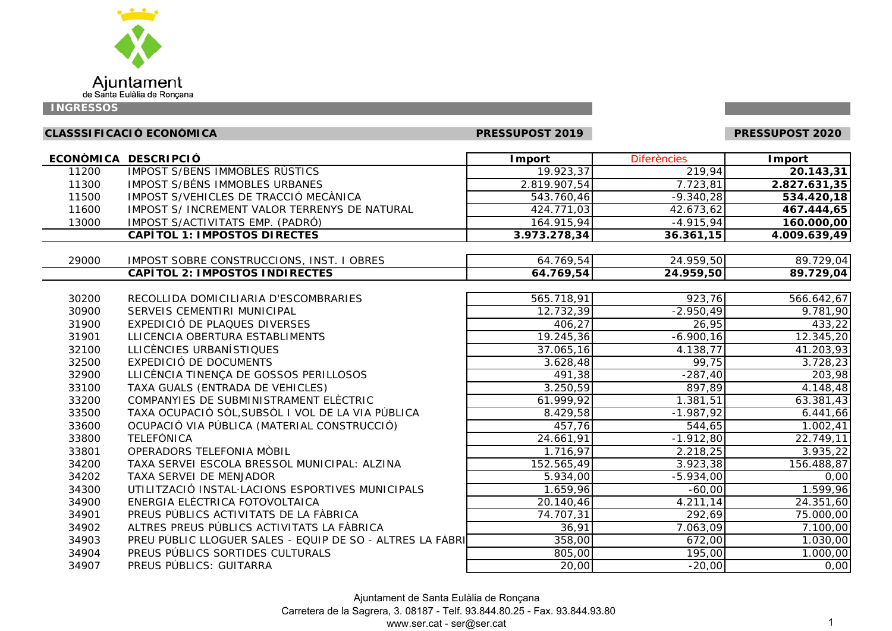

# **CLASSSIFICACIÓ ECONÒMICA PRESSUPOST 2019 PRESSUPOST 2020**

PRESSUPOST 2020

|       | ECONÒMICA DESCRIPCIÓ                                      | <b>I</b> mport       | <b>Diferències</b> | <b>Import</b> |
|-------|-----------------------------------------------------------|----------------------|--------------------|---------------|
| 11200 | IMPOST S/BENS IMMOBLES RÚSTICS                            | 19.923,37            | 219,94             | 20.143,31     |
| 11300 | IMPOST S/BÉNS IMMOBLES URBANES                            | 2.819.907,54         | 7.723,81           | 2.827.631,35  |
| 11500 | IMPOST S/VEHICLES DE TRACCIÓ MECÀNICA                     | 543.760,46           | $-9.340,28$        | 534.420,18    |
| 11600 | IMPOST S/ INCREMENT VALOR TERRENYS DE NATURAL             | 424.771,03           | 42.673,62          | 467.444,65    |
| 13000 | IMPOST S/ACTIVITATS EMP. (PADRÓ)                          | 164.915,94           | $-4.915,94$        | 160.000,00    |
|       | <b>CAPÍTOL 1: IMPOSTOS DIRECTES</b>                       | 3.973.278,34         | 36.361,15          | 4.009.639,49  |
|       |                                                           |                      |                    |               |
| 29000 | IMPOST SOBRE CONSTRUCCIONS, INST. I OBRES                 | 64.769,54            | 24.959,50          | 89.729,04     |
|       | <b>CAPÍTOL 2: IMPOSTOS INDIRECTES</b>                     | 64.769,54            | 24.959,50          | 89.729,04     |
|       |                                                           |                      |                    |               |
| 30200 | RECOLLIDA DOMICILIARIA D'ESCOMBRARIES                     | 565.718,91           | 923,76             | 566.642,67    |
| 30900 | SERVEIS CEMENTIRI MUNICIPAL                               | 12.732,39            | $-2.950,49$        | 9.781,90      |
| 31900 | EXPEDICIÓ DE PLAQUES DIVERSES                             | 406,27               | 26,95              | 433,22        |
| 31901 | LLICENCIA OBERTURA ESTABLIMENTS                           | 19.245,36            | $-6.900, 16$       | 12.345,20     |
| 32100 | LLICÈNCIES URBANÍSTIQUES                                  | 37.065,16            | 4.138,77           | 41.203,93     |
| 32500 | EXPEDICIÓ DE DOCUMENTS                                    | 3.628,48             | 99,75              | 3.728,23      |
| 32900 | LLICÈNCIA TINENÇA DE GOSSOS PERILLOSOS                    | $\overline{491}, 38$ | $-287,40$          | 203,98        |
| 33100 | TAXA GUALS (ENTRADA DE VEHICLES)                          | 3.250,59             | 897,89             | 4.148,48      |
| 33200 | COMPANYIES DE SUBMINISTRAMENT ELÈCTRIC                    | 61.999,92            | 1.381,51           | 63.381,43     |
| 33500 | TAXA OCUPACIÓ SÒL, SUBSÒL I VOL DE LA VIA PÚBLICA         | 8.429,58             | $-1.987,92$        | 6.441,66      |
| 33600 | OCUPACIÓ VIA PÚBLICA (MATERIAL CONSTRUCCIÓ)               | 457,76               | 544,65             | 1.002,41      |
| 33800 | <b>TELEFONICA</b>                                         | 24.661,91            | $-1.912,80$        | 22.749,11     |
| 33801 | OPERADORS TELEFONIA MÒBIL                                 | 1.716,97             | 2.218,25           | 3.935,22      |
| 34200 | TAXA SERVEI ESCOLA BRESSOL MUNICIPAL: ALZINA              | 152.565,49           | 3.923,38           | 156.488,87    |
| 34202 | TAXA SERVEI DE MENJADOR                                   | 5.934,00             | $-5.934,00$        | 0,00          |
| 34300 | UTILITZACIÓ INSTAL·LACIONS ESPORTIVES MUNICIPALS          | 1.659,96             | $-60,00$           | 1.599,96      |
| 34900 | ENERGIA ELÈCTRICA FOTOVOLTAICA                            | 20.140,46            | 4.211,14           | 24.351,60     |
| 34901 | PREUS PÚBLICS ACTIVITATS DE LA FÀBRICA                    | 74.707,31            | 292,69             | 75.000,00     |
| 34902 | ALTRES PREUS PÚBLICS ACTIVITATS LA FÀBRICA                | 36,91                | 7.063,09           | 7.100,00      |
| 34903 | PREU PÚBLIC LLOGUER SALES - EQUIP DE SO - ALTRES LA FÀBRI | 358,00               | 672,00             | 1.030,00      |
| 34904 | PREUS PÚBLICS SORTIDES CULTURALS                          | 805,00               | 195,00             | 1.000,00      |
| 34907 | PREUS PÚBLICS: GUITARRA                                   | 20,00                | $-20,00$           | 0,00          |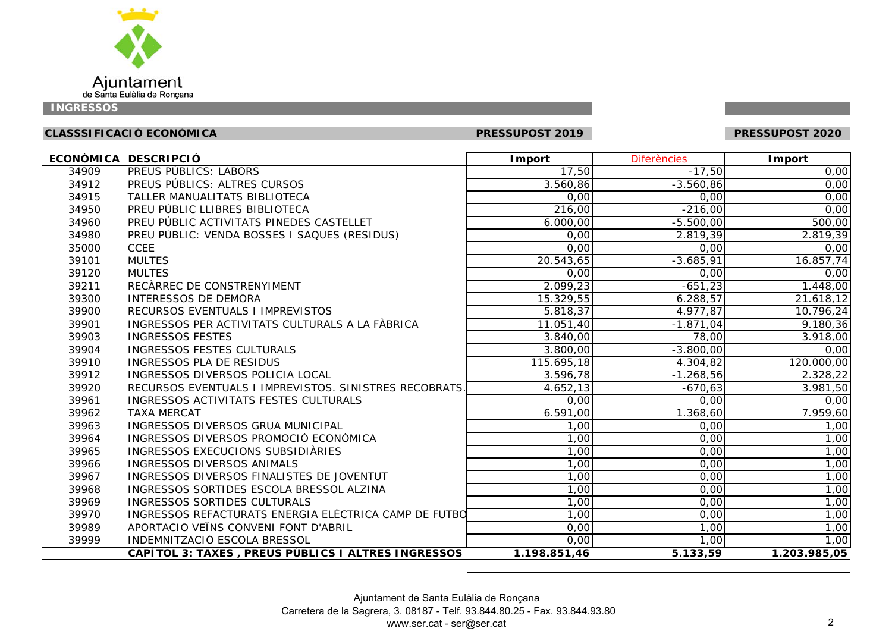

# **CLASSSIFICACIÓ ECONÒMICA PRESSUPOST 2019 PRESSUPOST 2020**

PRESSUPOST 2020

|       | ECONÒMICA DESCRIPCIÓ                                   | <b>I</b> mport | <b>Diferències</b> | Import       |
|-------|--------------------------------------------------------|----------------|--------------------|--------------|
| 34909 | PREUS PÚBLICS: LABORS                                  | 17,50          | $-17,50$           | 0,00         |
| 34912 | PREUS PÚBLICS: ALTRES CURSOS                           | 3.560,86       | $-3.560,86$        | 0,00         |
| 34915 | TALLER MANUALITATS BIBLIOTECA                          | 0,00           | 0,00               | 0,00         |
| 34950 | PREU PÚBLIC LLIBRES BIBLIOTECA                         | 216,00         | $-216,00$          | 0,00         |
| 34960 | PREU PÚBLIC ACTIVITATS PINEDES CASTELLET               | 6.000,00       | $-5.500,00$        | 500,00       |
| 34980 | PREU PÙBLIC: VENDA BOSSES I SAQUES (RESIDUS)           | 0,00           | 2.819,39           | 2.819,39     |
| 35000 | <b>CCEE</b>                                            | 0,00           | 0,00               | 0,00         |
| 39101 | <b>MULTES</b>                                          | 20.543,65      | $-3.685,91$        | 16.857,74    |
| 39120 | <b>MULTES</b>                                          | 0,00           | 0,00               | 0,00         |
| 39211 | RECÀRREC DE CONSTRENYIMENT                             | 2.099,23       | $-651,23$          | 1.448,00     |
| 39300 | <b>INTERESSOS DE DEMORA</b>                            | 15.329,55      | 6.288,57           | 21.618,12    |
| 39900 | RECURSOS EVENTUALS I IMPREVISTOS                       | 5.818, 37      | 4.977,87           | 10.796,24    |
| 39901 | INGRESSOS PER ACTIVITATS CULTURALS A LA FÀBRICA        | 11.051,40      | $-1.871,04$        | 9.180,36     |
| 39903 | <b>INGRESSOS FESTES</b>                                | 3.840,00       | 78,00              | 3.918,00     |
| 39904 | INGRESSOS FESTES CULTURALS                             | 3.800,00       | $-3.800,00$        | 0,00         |
| 39910 | INGRESSOS PLA DE RESIDUS                               | 115.695,18     | 4.304,82           | 120.000,00   |
| 39912 | INGRESSOS DIVERSOS POLICIA LOCAL                       | 3.596,78       | $-1.268,56$        | 2.328,22     |
| 39920 | RECURSOS EVENTUALS I IMPREVISTOS. SINISTRES RECOBRATS. | 4.652,13       | $-670,63$          | 3.981,50     |
| 39961 | INGRESSOS ACTIVITATS FESTES CULTURALS                  | 0,00           | 0,00               | 0,00         |
| 39962 | <b>TAXA MERCAT</b>                                     | 6.591,00       | 1.368,60           | 7.959,60     |
| 39963 | INGRESSOS DIVERSOS GRUA MUNICIPAL                      | 1,00           | 0,00               | 1,00         |
| 39964 | INGRESSOS DIVERSOS PROMOCIÓ ECONÒMICA                  | 1,00           | 0,00               | 1,00         |
| 39965 | INGRESSOS EXECUCIONS SUBSIDIÀRIES                      | 1,00           | 0,00               | 1,00         |
| 39966 | INGRESSOS DIVERSOS ANIMALS                             | 1,00           | 0,00               | 1,00         |
| 39967 | INGRESSOS DIVERSOS FINALISTES DE JOVENTUT              | 1,00           | 0,00               | 1,00         |
| 39968 | INGRESSOS SORTIDES ESCOLA BRESSOL ALZINA               | 1,00           | 0,00               | 1,00         |
| 39969 | <b>INGRESSOS SORTIDES CULTURALS</b>                    | 1,00           | 0,00               | 1,00         |
| 39970 | INGRESSOS REFACTURATS ENERGIA ELÈCTRICA CAMP DE FUTBO  | 1,00           | 0,00               | 1,00         |
| 39989 | APORTACIO VEÏNS CONVENI FONT D'ABRIL                   | 0,00           | 1,00               | 1,00         |
| 39999 | INDEMNITZACIÓ ESCOLA BRESSOL                           | 0,00           | 1,00               | 1,00         |
|       | CAPÍTOL 3: TAXES, PREUS PÚBLICS I ALTRES INGRESSOS     | 1.198.851,46   | 5.133,59           | 1.203.985,05 |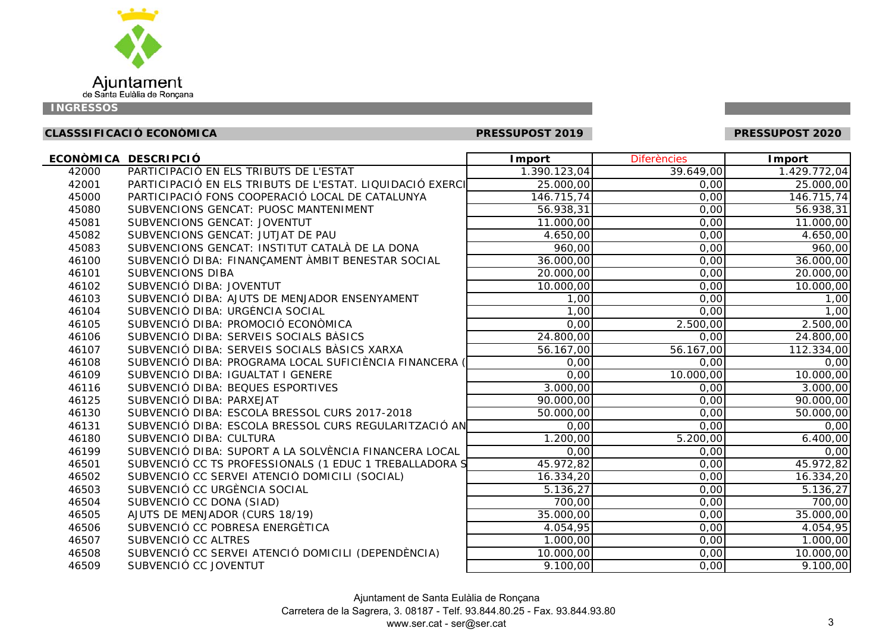

# **CLASSSIFICACIÓ ECONÒMICA PRESSUPOST 2019 PRESSUPOST 2020**

PRESSUPOST 2020

|       | ECONÒMICA DESCRIPCIÓ                                      | <b>I</b> mport | <b>Diferències</b> | <b>Import</b> |
|-------|-----------------------------------------------------------|----------------|--------------------|---------------|
| 42000 | PARTICIPACIÓ EN ELS TRIBUTS DE L'ESTAT                    | 1.390.123,04   | 39.649,00          | 1.429.772,04  |
| 42001 | PARTICIPACIÓ EN ELS TRIBUTS DE L'ESTAT. LIQUIDACIÓ EXERCI | 25.000,00      | 0,00               | 25.000,00     |
| 45000 | PARTICIPACIÓ FONS COOPERACIÓ LOCAL DE CATALUNYA           | 146.715,74     | 0,00               | 146.715,74    |
| 45080 | SUBVENCIONS GENCAT: PUOSC MANTENIMENT                     | 56.938,31      | 0,00               | 56.938,31     |
| 45081 | SUBVENCIONS GENCAT: JOVENTUT                              | 11.000,00      | 0,00               | 11.000,00     |
| 45082 | SUBVENCIONS GENCAT: JUTJAT DE PAU                         | 4.650,00       | 0,00               | 4.650,00      |
| 45083 | SUBVENCIONS GENCAT: INSTITUT CATALÀ DE LA DONA            | 960,00         | 0,00               | 960,00        |
| 46100 | SUBVENCIÓ DIBA: FINANÇAMENT ÀMBIT BENESTAR SOCIAL         | 36.000,00      | 0,00               | 36.000,00     |
| 46101 | SUBVENCIONS DIBA                                          | 20.000,00      | 0,00               | 20.000,00     |
| 46102 | SUBVENCIÓ DIBA: JOVENTUT                                  | 10.000,00      | 0,00               | 10.000,00     |
| 46103 | SUBVENCIÓ DIBA: AJUTS DE MENJADOR ENSENYAMENT             | 1,00           | 0,00               | 1,00          |
| 46104 | SUBVENCIÓ DIBA: URGÈNCIA SOCIAL                           | 1,00           | 0,00               | 1,00          |
| 46105 | SUBVENCIÓ DIBA: PROMOCIÓ ECONÒMICA                        | 0,00           | 2.500,00           | 2.500,00      |
| 46106 | SUBVENCIÓ DIBA: SERVEIS SOCIALS BÀSICS                    | 24.800,00      | 0,00               | 24.800,00     |
| 46107 | SUBVENCIÓ DIBA: SERVEIS SOCIALS BÀSICS XARXA              | 56.167,00      | 56.167,00          | 112.334,00    |
| 46108 | SUBVENCIÓ DIBA: PROGRAMA LOCAL SUFICIÈNCIA FINANCERA      | 0,00           | 0,00               | 0,00          |
| 46109 | SUBVENCIÓ DIBA: IGUALTAT I GENERE                         | 0,00           | 10.000,00          | 10.000,00     |
| 46116 | SUBVENCIÓ DIBA: BEQUES ESPORTIVES                         | 3.000,00       | 0,00               | 3.000,00      |
| 46125 | SUBVENCIÓ DIBA: PARXEJAT                                  | 90.000,00      | 0,00               | 90.000,00     |
| 46130 | SUBVENCIÓ DIBA: ESCOLA BRESSOL CURS 2017-2018             | 50.000,00      | 0,00               | 50.000,00     |
| 46131 | SUBVENCIÓ DIBA: ESCOLA BRESSOL CURS REGULARITZACIÓ AN     | 0,00           | 0,00               | 0,00          |
| 46180 | SUBVENCIÓ DIBA: CULTURA                                   | 1.200,00       | 5.200,00           | 6.400,00      |
| 46199 | SUBVENCIÓ DIBA: SUPORT A LA SOLVÈNCIA FINANCERA LOCAL     | 0,00           | 0,00               | 0,00          |
| 46501 | SUBVENCIÓ CC TS PROFESSIONALS (1 EDUC 1 TREBALLADORA S    | 45.972,82      | 0,00               | 45.972,82     |
| 46502 | SUBVENCIÓ CC SERVEI ATENCIÓ DOMICILI (SOCIAL)             | 16.334,20      | 0,00               | 16.334,20     |
| 46503 | SUBVENCIÓ CC URGÈNCIA SOCIAL                              | 5.136,27       | 0,00               | 5.136,27      |
| 46504 | SUBVENCIÓ CC DONA (SIAD)                                  | 700,00         | 0,00               | 700,00        |
| 46505 | AJUTS DE MENJADOR (CURS 18/19)                            | 35.000,00      | 0,00               | 35.000,00     |
| 46506 | SUBVENCIÓ CC POBRESA ENERGÈTICA                           | 4.054,95       | 0,00               | 4.054,95      |
| 46507 | SUBVENCIÓ CC ALTRES                                       | 1.000,00       | 0,00               | 1.000,00      |
| 46508 | SUBVENCIÓ CC SERVEI ATENCIÓ DOMICILI (DEPENDÈNCIA)        | 10.000,00      | 0,00               | 10.000,00     |
| 46509 | SUBVENCIÓ CC JOVENTUT                                     | 9.100,00       | 0,00               | 9.100,00      |

Ajuntament de Santa Eulàlia de Ronçana

Carretera de la Sagrera, 3. 08187 - Telf. 93.844.80.25 - Fax. 93.844.93.80

www.ser.cat - ser@ser.cat 3